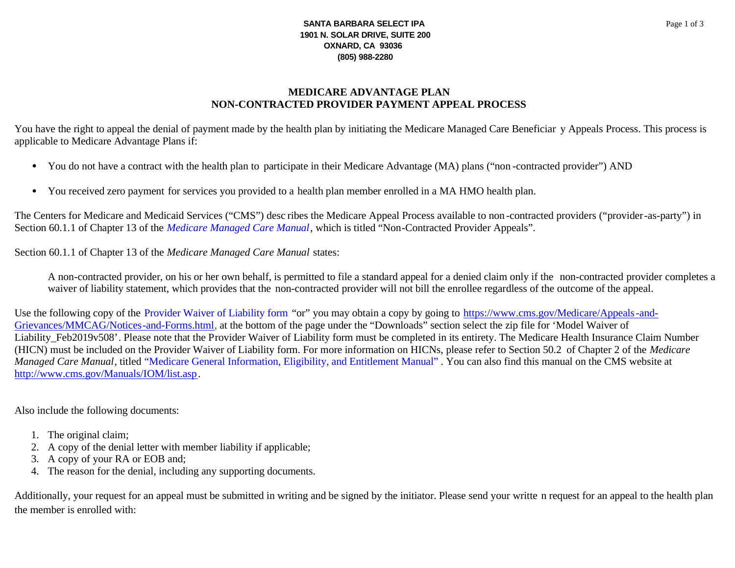## **SANTA BARBARA SELECT IPA** 1901 N. SOLAR DRIVE, SUITE 200 OXNARD, CA 93036 (805) 988-2280

## **MEDICARE ADVANTAGE PLAN** NON-CONTRACTED PROVIDER PAYMENT APPEAL PROCESS

You have the right to appeal the denial of payment made by the health plan by initiating the Medicare Managed Care Beneficiar y Appeals Process. This process is applicable to Medicare Advantage Plans if:

- You do not have a contract with the health plan to participate in their Medicare Advantage (MA) plans ("non-contracted provider") AND
- You received zero payment for services you provided to a health plan member enrolled in a MA HMO health plan.

The Centers for Medicare and Medicaid Services ("CMS") desc ribes the Medicare Appeal Process available to non-contracted providers ("provider-as-party") in Section 60.1.1 of Chapter 13 of the *Medicare Managed Care Manual*, which is titled "Non-Contracted Provider Appeals".

Section 60.1.1 of Chapter 13 of the *Medicare Managed Care Manual* states:

A non-contracted provider, on his or her own behalf, is permitted to file a standard appeal for a denied claim only if the non-contracted provider completes a waiver of liability statement, which provides that the non-contracted provider will not bill the enrollee regardless of the outcome of the appeal.

Use the following copy of the Provider Waiver of Liability form "or" you may obtain a copy by going to https://www.cms.gov/Medicare/Appeals-and-Grievances/MMCAG/Notices-and-Forms.html, at the bottom of the page under the "Downloads" section select the zip file for 'Model Waiver of Liability Feb2019v508'. Please note that the Provider Waiver of Liability form must be completed in its entirety. The Medicare Health Insurance Claim Number (HICN) must be included on the Provider Waiver of Liability form. For more information on HICNs, please refer to Section 50.2 of Chapter 2 of the Medicare Managed Care Manual, titled "Medicare General Information, Eligibility, and Entitlement Manual". You can also find this manual on the CMS website at http://www.cms.gov/Manuals/IOM/list.asp.

Also include the following documents:

- 1. The original claim;
- 2. A copy of the denial letter with member liability if applicable;
- 3. A copy of your RA or EOB and;
- 4. The reason for the denial, including any supporting documents.

Additionally, your request for an appeal must be submitted in writing and be signed by the initiator. Please send your writte n request for an appeal to the health plan the member is enrolled with: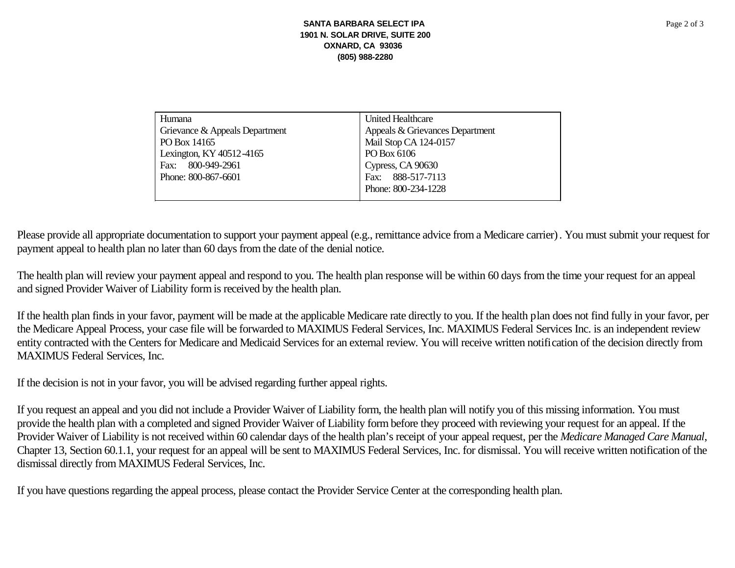| Humana                         | United Healthcare               |
|--------------------------------|---------------------------------|
| Grievance & Appeals Department | Appeals & Grievances Department |
| PO Box 14165                   | Mail Stop CA 124-0157           |
| Lexington, KY 40512-4165       | PO Box 6106                     |
| 800-949-2961<br>Fax:           | Cypress, CA 90630               |
| Phone: 800-867-6601            | Fax: 888-517-7113               |
|                                | Phone: 800-234-1228             |
|                                |                                 |

Please provide all appropriate documentation to support your payment appeal (e.g., remittance advice from a Medicare carrier). You must submit your request for payment appeal to health plan no later than 60 days from the date of the denial notice.

The health plan will review your payment appeal and respond to you. The health plan response will be within 60 days from the time your request for an appeal and signed Provider Waiver of Liability form is received by the health plan.

If the health plan finds in your favor, payment will be made at the applicable Medicare rate directly to you. If the health plan does not find fully in your favor, per the Medicare Appeal Process, your case file will be forwarded to MAXIMUS Federal Services, Inc. MAXIMUS Federal Services Inc. is an independent review entity contracted with the Centers for Medicare and Medicaid Services for an external review. You will receive written notification of the decision directly from **MAXIMUS** Federal Services, Inc.

If the decision is not in your favor, you will be advised regarding further appeal rights.

If you request an appeal and you did not include a Provider Waiver of Liability form, the health plan will notify you of this missing information. You must provide the health plan with a completed and signed Provider Waiver of Liability form before they proceed with reviewing your request for an appeal. If the Provider Waiver of Liability is not received within 60 calendar days of the health plan's receipt of your appeal request, per the Medicare Managed Care Manual, Chapter 13, Section 60.1.1, your request for an appeal will be sent to MAXIMUS Federal Services, Inc. for dismissal. You will receive written notification of the dismissal directly from MAXIMUS Federal Services, Inc.

If you have questions regarding the appeal process, please contact the Provider Service Center at the corresponding health plan.